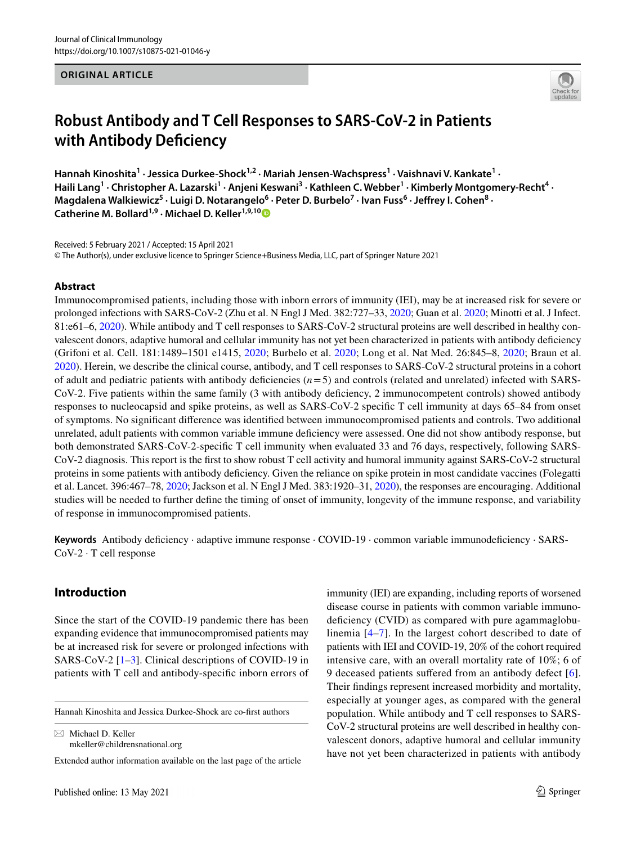#### **ORIGINAL ARTICLE**



# **Robust Antibody and T Cell Responses to SARS‑CoV‑2 in Patients with Antibody Defciency**

**Hannah Kinoshita1 · Jessica Durkee‑Shock1,2 · Mariah Jensen‑Wachspress1 · Vaishnavi V. Kankate<sup>1</sup> ·**  Haili Lang<sup>1</sup> • Christopher A. Lazarski<sup>1</sup> • Anjeni Keswani<sup>3</sup> • Kathleen C. Webber<sup>1</sup> • Kimberly Montgomery-Recht<sup>4</sup> • Magdalena Walkiewicz<sup>5</sup> · Luigi D. Notarangelo<sup>6</sup> · Peter D. Burbelo<sup>7</sup> · Ivan Fuss<sup>6</sup> · Jeffrey I. Cohen<sup>8</sup> · **Catherine M. Bollard1,9 · Michael D. Keller1,9,1[0](http://orcid.org/0000-0001-8323-3085)**

Received: 5 February 2021 / Accepted: 15 April 2021 © The Author(s), under exclusive licence to Springer Science+Business Media, LLC, part of Springer Nature 2021

#### **Abstract**

Immunocompromised patients, including those with inborn errors of immunity (IEI), may be at increased risk for severe or prolonged infections with SARS-CoV-2 (Zhu et al. N Engl J Med. 382:727–33, [2020;](#page-5-0) Guan et al. [2020;](#page-5-1) Minotti et al. J Infect. 81:e61–6, [2020](#page-5-2)). While antibody and T cell responses to SARS-CoV-2 structural proteins are well described in healthy convalescent donors, adaptive humoral and cellular immunity has not yet been characterized in patients with antibody defciency (Grifoni et al. Cell. 181:1489–1501 e1415, [2020](#page-6-0); Burbelo et al. [2020](#page-6-1); Long et al. Nat Med. 26:845–8, [2020](#page-6-2); Braun et al. [2020](#page-6-3)). Herein, we describe the clinical course, antibody, and T cell responses to SARS-CoV-2 structural proteins in a cohort of adult and pediatric patients with antibody deficiencies  $(n=5)$  and controls (related and unrelated) infected with SARS-CoV-2. Five patients within the same family (3 with antibody defciency, 2 immunocompetent controls) showed antibody responses to nucleocapsid and spike proteins, as well as SARS-CoV-2 specifc T cell immunity at days 65–84 from onset of symptoms. No signifcant diference was identifed between immunocompromised patients and controls. Two additional unrelated, adult patients with common variable immune defciency were assessed. One did not show antibody response, but both demonstrated SARS-CoV-2-specifc T cell immunity when evaluated 33 and 76 days, respectively, following SARS-CoV-2 diagnosis. This report is the frst to show robust T cell activity and humoral immunity against SARS-CoV-2 structural proteins in some patients with antibody defciency. Given the reliance on spike protein in most candidate vaccines (Folegatti et al. Lancet. 396:467–78, [2020;](#page-6-4) Jackson et al. N Engl J Med. 383:1920–31, [2020\)](#page-6-5), the responses are encouraging. Additional studies will be needed to further defne the timing of onset of immunity, longevity of the immune response, and variability of response in immunocompromised patients.

**Keywords** Antibody defciency · adaptive immune response · COVID-19 · common variable immunodefciency · SARS-CoV-2 · T cell response

## **Introduction**

Since the start of the COVID-19 pandemic there has been expanding evidence that immunocompromised patients may be at increased risk for severe or prolonged infections with SARS-CoV-2 [\[1](#page-5-0)[–3](#page-5-2)]. Clinical descriptions of COVID-19 in patients with T cell and antibody-specifc inborn errors of

Hannah Kinoshita and Jessica Durkee-Shock are co-frst authors

 $\boxtimes$  Michael D. Keller mkeller@childrensnational.org

Extended author information available on the last page of the article

immunity (IEI) are expanding, including reports of worsened disease course in patients with common variable immunodeficiency (CVID) as compared with pure agammaglobulinemia [\[4–](#page-5-3)[7](#page-6-6)]. In the largest cohort described to date of patients with IEI and COVID-19, 20% of the cohort required intensive care, with an overall mortality rate of 10%; 6 of 9 deceased patients suffered from an antibody defect [[6](#page-5-4)]. Their fndings represent increased morbidity and mortality, especially at younger ages, as compared with the general population. While antibody and T cell responses to SARS-CoV-2 structural proteins are well described in healthy convalescent donors, adaptive humoral and cellular immunity have not yet been characterized in patients with antibody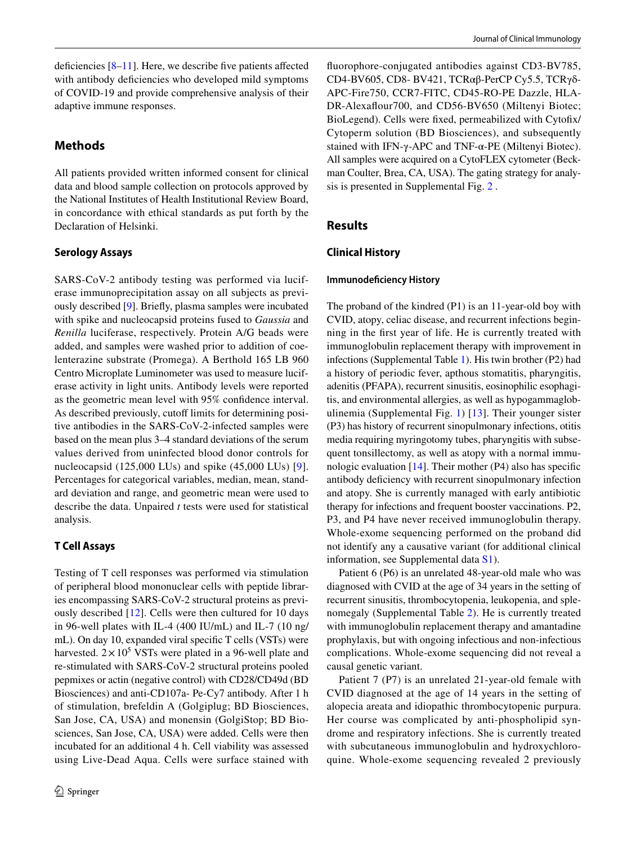deficiencies  $[8-11]$  $[8-11]$ . Here, we describe five patients affected with antibody deficiencies who developed mild symptoms of COVID-19 and provide comprehensive analysis of their adaptive immune responses.

# **Methods**

All patients provided written informed consent for clinical data and blood sample collection on protocols approved by the National Institutes of Health Institutional Review Board, in concordance with ethical standards as put forth by the Declaration of Helsinki.

### **Serology Assays**

SARS-CoV-2 antibody testing was performed via luciferase immunoprecipitation assay on all subjects as previously described [[9\]](#page-6-1). Briefy, plasma samples were incubated with spike and nucleocapsid proteins fused to *Gaussia* and *Renilla* luciferase, respectively. Protein A/G beads were added, and samples were washed prior to addition of coelenterazine substrate (Promega). A Berthold 165 LB 960 Centro Microplate Luminometer was used to measure luciferase activity in light units. Antibody levels were reported as the geometric mean level with 95% confdence interval. As described previously, cutoff limits for determining positive antibodies in the SARS-CoV-2-infected samples were based on the mean plus 3–4 standard deviations of the serum values derived from uninfected blood donor controls for nucleocapsid (125,000 LUs) and spike (45,000 LUs) [[9](#page-6-1)]. Percentages for categorical variables, median, mean, standard deviation and range, and geometric mean were used to describe the data. Unpaired *t* tests were used for statistical analysis.

## **T Cell Assays**

Testing of T cell responses was performed via stimulation of peripheral blood mononuclear cells with peptide libraries encompassing SARS-CoV-2 structural proteins as previously described [\[12\]](#page-6-7). Cells were then cultured for 10 days in 96-well plates with IL-4 (400 IU/mL) and IL-7 (10 ng/ mL). On day 10, expanded viral specifc T cells (VSTs) were harvested.  $2 \times 10^5$  VSTs were plated in a 96-well plate and re-stimulated with SARS-CoV-2 structural proteins pooled pepmixes or actin (negative control) with CD28/CD49d (BD Biosciences) and anti-CD107a- Pe-Cy7 antibody. After 1 h of stimulation, brefeldin A (Golgiplug; BD Biosciences, San Jose, CA, USA) and monensin (GolgiStop; BD Biosciences, San Jose, CA, USA) were added. Cells were then incubated for an additional 4 h. Cell viability was assessed using Live-Dead Aqua. Cells were surface stained with

fuorophore-conjugated antibodies against CD3-BV785, CD4-BV605, CD8- BV421, TCRαβ-PerCP Cy5.5, TCRγδ-APC-Fire750, CCR7-FITC, CD45-RO-PE Dazzle, HLA-DR-Alexaflour 700, and CD56-BV650 (Miltenyi Biotec; BioLegend). Cells were fxed, permeabilized with Cytofx/ Cytoperm solution (BD Biosciences), and subsequently stained with IFN-γ-APC and TNF-α-PE (Miltenyi Biotec). All samples were acquired on a CytoFLEX cytometer (Beckman Coulter, Brea, CA, USA). The gating strategy for analysis is presented in Supplemental Fig. 2 .

## **Results**

### **Clinical History**

#### **Immunodefciency History**

The proband of the kindred (P1) is an 11-year-old boy with CVID, atopy, celiac disease, and recurrent infections beginning in the frst year of life. He is currently treated with immunoglobulin replacement therapy with improvement in infections (Supplemental Table 1). His twin brother (P2) had a history of periodic fever, apthous stomatitis, pharyngitis, adenitis (PFAPA), recurrent sinusitis, eosinophilic esophagitis, and environmental allergies, as well as hypogammaglobulinemia (Supplemental Fig. 1) [[13](#page-6-8)]. Their younger sister (P3) has history of recurrent sinopulmonary infections, otitis media requiring myringotomy tubes, pharyngitis with subsequent tonsillectomy, as well as atopy with a normal immunologic evaluation  $[14]$  $[14]$ . Their mother (P4) also has specific antibody defciency with recurrent sinopulmonary infection and atopy. She is currently managed with early antibiotic therapy for infections and frequent booster vaccinations. P2, P3, and P4 have never received immunoglobulin therapy. Whole-exome sequencing performed on the proband did not identify any a causative variant (for additional clinical information, see Supplemental data S1).

Patient 6 (P6) is an unrelated 48-year-old male who was diagnosed with CVID at the age of 34 years in the setting of recurrent sinusitis, thrombocytopenia, leukopenia, and splenomegaly (Supplemental Table 2). He is currently treated with immunoglobulin replacement therapy and amantadine prophylaxis, but with ongoing infectious and non-infectious complications. Whole-exome sequencing did not reveal a causal genetic variant.

Patient 7 (P7) is an unrelated 21-year-old female with CVID diagnosed at the age of 14 years in the setting of alopecia areata and idiopathic thrombocytopenic purpura. Her course was complicated by anti-phospholipid syndrome and respiratory infections. She is currently treated with subcutaneous immunoglobulin and hydroxychloroquine. Whole-exome sequencing revealed 2 previously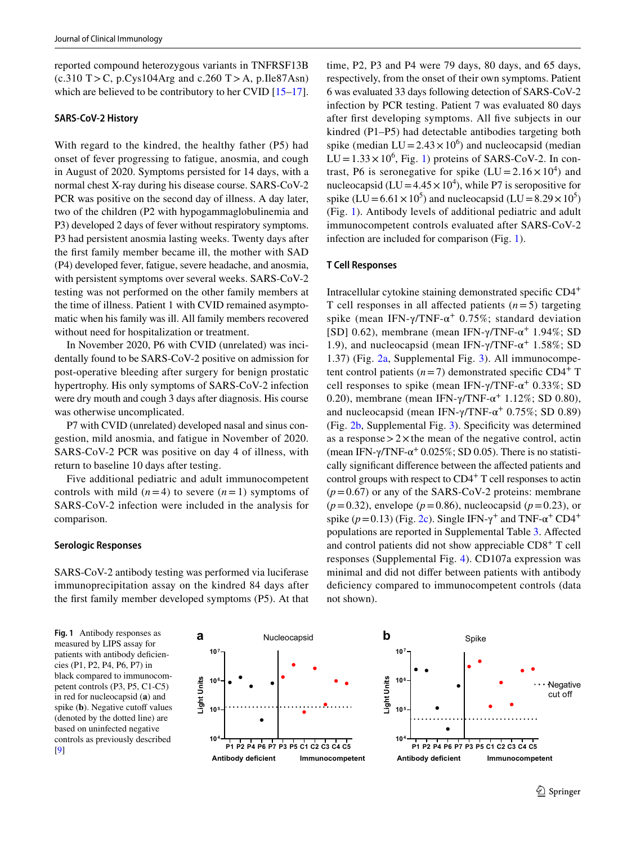reported compound heterozygous variants in TNFRSF13B  $(c.310$  T > C, p.Cys104Arg and c.260 T > A, p.Ile87Asn) which are believed to be contributory to her CVID [\[15](#page-6-10)[–17](#page-6-11)].

#### **SARS‑CoV‑2 History**

With regard to the kindred, the healthy father (P5) had onset of fever progressing to fatigue, anosmia, and cough in August of 2020. Symptoms persisted for 14 days, with a normal chest X-ray during his disease course. SARS-CoV-2 PCR was positive on the second day of illness. A day later, two of the children (P2 with hypogammaglobulinemia and P3) developed 2 days of fever without respiratory symptoms. P3 had persistent anosmia lasting weeks. Twenty days after the frst family member became ill, the mother with SAD (P4) developed fever, fatigue, severe headache, and anosmia, with persistent symptoms over several weeks. SARS-CoV-2 testing was not performed on the other family members at the time of illness. Patient 1 with CVID remained asymptomatic when his family was ill. All family members recovered without need for hospitalization or treatment.

In November 2020, P6 with CVID (unrelated) was incidentally found to be SARS-CoV-2 positive on admission for post-operative bleeding after surgery for benign prostatic hypertrophy. His only symptoms of SARS-CoV-2 infection were dry mouth and cough 3 days after diagnosis. His course was otherwise uncomplicated.

P7 with CVID (unrelated) developed nasal and sinus congestion, mild anosmia, and fatigue in November of 2020. SARS-CoV-2 PCR was positive on day 4 of illness, with return to baseline 10 days after testing.

Five additional pediatric and adult immunocompetent controls with mild  $(n=4)$  to severe  $(n=1)$  symptoms of SARS-CoV-2 infection were included in the analysis for comparison.

#### **Serologic Responses**

SARS-CoV-2 antibody testing was performed via luciferase immunoprecipitation assay on the kindred 84 days after the frst family member developed symptoms (P5). At that time, P2, P3 and P4 were 79 days, 80 days, and 65 days, respectively, from the onset of their own symptoms. Patient 6 was evaluated 33 days following detection of SARS-CoV-2 infection by PCR testing. Patient 7 was evaluated 80 days after frst developing symptoms. All fve subjects in our kindred (P1–P5) had detectable antibodies targeting both spike (median  $LU = 2.43 \times 10^6$ ) and nucleocapsid (median  $LU = 1.33 \times 10^6$ , Fig. [1\)](#page-2-0) proteins of SARS-CoV-2. In contrast, P6 is seronegative for spike  $(LU = 2.16 \times 10^4)$  and nucleocapsid ( $LU = 4.45 \times 10^4$ ), while P7 is seropositive for spike (LU =  $6.61 \times 10^5$ ) and nucleocapsid (LU =  $8.29 \times 10^5$ ) (Fig. [1\)](#page-2-0). Antibody levels of additional pediatric and adult immunocompetent controls evaluated after SARS-CoV-2 infection are included for comparison (Fig. [1\)](#page-2-0).

#### **T Cell Responses**

Intracellular cytokine staining demonstrated specifc CD4<sup>+</sup> T cell responses in all affected patients  $(n=5)$  targeting spike (mean IFN- $\gamma$ /TNF- $\alpha$ <sup>+</sup> 0.75%; standard deviation [SD] 0.62), membrane (mean IFN- $\gamma$ /TNF- $\alpha$ <sup>+</sup> 1.94%; SD 1.9), and nucleocapsid (mean IFN- $γ$ /TNF-α<sup>+</sup> 1.58%; SD 1.37) (Fig. [2a](#page-3-0), Supplemental Fig. 3). All immunocompetent control patients  $(n=7)$  demonstrated specific CD4<sup>+</sup> T cell responses to spike (mean IFN- $\gamma$ /TNF- $\alpha^+$  0.33%; SD 0.20), membrane (mean IFN- $\gamma$ /TNF- $\alpha^+$  1.12%; SD 0.80), and nucleocapsid (mean IFN- $\gamma$ /TNF- $\alpha$ <sup>+</sup> 0.75%; SD 0.89) (Fig. [2b](#page-3-0), Supplemental Fig. 3). Specifcity was determined as a response  $>2\times$  the mean of the negative control, actin (mean IFN- $\gamma$ /TNF- $\alpha$ <sup>+</sup> 0.025%; SD 0.05). There is no statistically signifcant diference between the afected patients and control groups with respect to CD4<sup>+</sup> T cell responses to actin  $(p=0.67)$  or any of the SARS-CoV-2 proteins: membrane  $(p=0.32)$ , envelope ( $p=0.86$ ), nucleocapsid ( $p=0.23$ ), or spike ( $p=0.13$ ) (Fig. [2c](#page-3-0)). Single IFN- $\gamma^+$  and TNF- $\alpha^+$  CD4<sup>+</sup> populations are reported in Supplemental Table 3. Afected and control patients did not show appreciable CD8+ T cell responses (Supplemental Fig. 4). CD107a expression was minimal and did not difer between patients with antibody deficiency compared to immunocompetent controls (data not shown).

<span id="page-2-0"></span>**Fig. 1** Antibody responses as measured by LIPS assay for patients with antibody deficiencies (P1, P2, P4, P6, P7) in black compared to immunocompetent controls (P3, P5, C1-C5) in red for nucleocapsid (**a**) and spike (**b**). Negative cutoff values (denoted by the dotted line) are based on uninfected negative controls as previously described



**Negative** cut off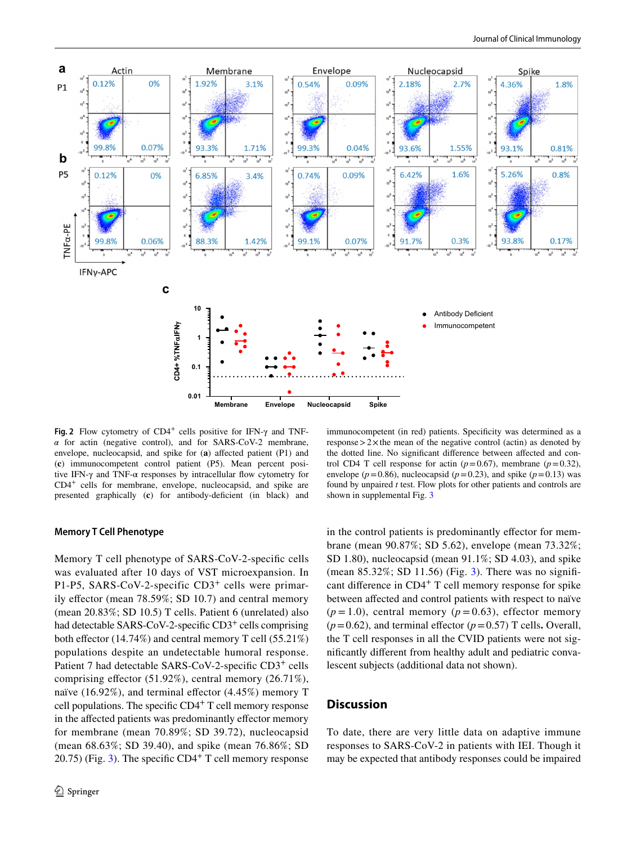

<span id="page-3-0"></span>**Fig. 2** Flow cytometry of CD4+ cells positive for IFN-γ and TNF- $\alpha$  for actin (negative control), and for SARS-CoV-2 membrane, envelope, nucleocapsid, and spike for (a) affected patient (P1) and (**c**) immunocompetent control patient (P5). Mean percent positive IFN- $\gamma$  and TNF- $\alpha$  responses by intracellular flow cytometry for CD4+ cells for membrane, envelope, nucleocapsid, and spike are presented graphically (**c**) for antibody-defcient (in black) and

#### **Memory T Cell Phenotype**

Memory T cell phenotype of SARS-CoV-2-specifc cells was evaluated after 10 days of VST microexpansion. In P1-P5, SARS-CoV-2-specific CD3<sup>+</sup> cells were primarily effector (mean 78.59%; SD 10.7) and central memory (mean 20.83%; SD 10.5) T cells. Patient 6 (unrelated) also had detectable SARS-CoV-2-specific CD3<sup>+</sup> cells comprising both effector  $(14.74\%)$  and central memory T cell  $(55.21\%)$ populations despite an undetectable humoral response. Patient 7 had detectable SARS-CoV-2-specific CD3<sup>+</sup> cells comprising efector (51.92%), central memory (26.71%), naïve (16.92%), and terminal effector  $(4.45%)$  memory T cell populations. The specific  $CD4<sup>+</sup>$  T cell memory response in the affected patients was predominantly effector memory for membrane (mean 70.89%; SD 39.72), nucleocapsid (mean 68.63%; SD 39.40), and spike (mean 76.86%; SD 20.75) (Fig. [3](#page-4-0)). The specific  $CD4<sup>+</sup>$  T cell memory response

immunocompetent (in red) patients. Specificity was determined as a response  $>2\times$  the mean of the negative control (actin) as denoted by the dotted line. No signifcant diference between afected and control CD4 T cell response for actin  $(p=0.67)$ , membrane  $(p=0.32)$ , envelope ( $p=0.86$ ), nucleocapsid ( $p=0.23$ ), and spike ( $p=0.13$ ) was found by unpaired *t* test. Flow plots for other patients and controls are shown in supplemental Fig. 3

in the control patients is predominantly efector for membrane (mean 90.87%; SD 5.62), envelope (mean 73.32%; SD 1.80), nucleocapsid (mean 91.1%; SD 4.03), and spike (mean  $85.32\%$  $85.32\%$  $85.32\%$ ; SD 11.56) (Fig. 3). There was no significant diference in CD4+ T cell memory response for spike between afected and control patients with respect to naïve  $(p=1.0)$ , central memory  $(p=0.63)$ , effector memory  $(p=0.62)$ , and terminal effector  $(p=0.57)$  T cells. Overall, the T cell responses in all the CVID patients were not signifcantly diferent from healthy adult and pediatric convalescent subjects (additional data not shown).

## **Discussion**

To date, there are very little data on adaptive immune responses to SARS-CoV-2 in patients with IEI. Though it may be expected that antibody responses could be impaired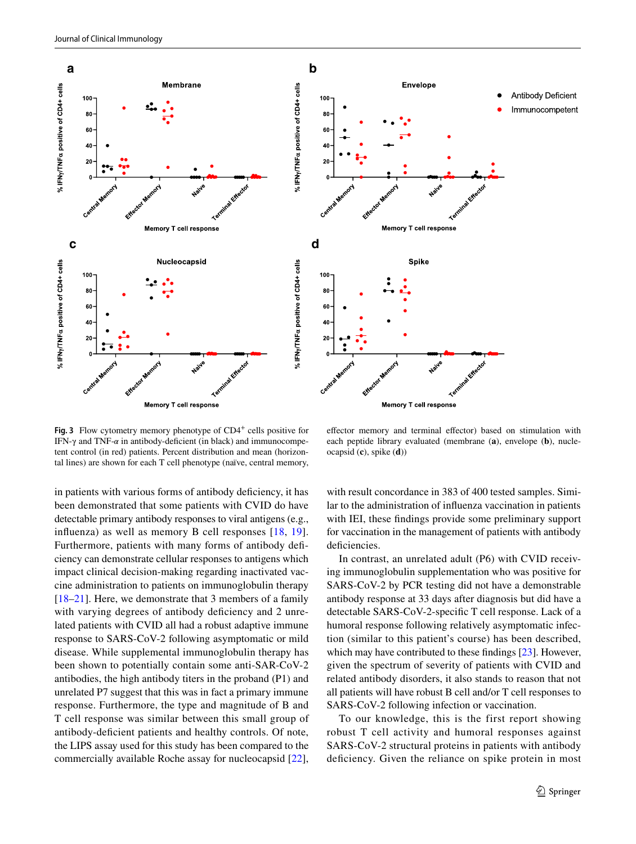



<span id="page-4-0"></span>**Fig. 3** Flow cytometry memory phenotype of CD4<sup>+</sup> cells positive for IFN-γ and TNF-*α* in antibody-deficient (in black) and immunocompetent control (in red) patients. Percent distribution and mean (horizontal lines) are shown for each T cell phenotype (naïve, central memory,

efector memory and terminal efector) based on stimulation with each peptide library evaluated (membrane (**a**), envelope (**b**), nucleocapsid (**c**), spike (**d**))

in patients with various forms of antibody defciency, it has been demonstrated that some patients with CVID do have detectable primary antibody responses to viral antigens (e.g., infuenza) as well as memory B cell responses [\[18,](#page-6-12) [19](#page-6-13)]. Furthermore, patients with many forms of antibody defciency can demonstrate cellular responses to antigens which impact clinical decision-making regarding inactivated vaccine administration to patients on immunoglobulin therapy [\[18–](#page-6-12)[21\]](#page-6-14). Here, we demonstrate that 3 members of a family with varying degrees of antibody deficiency and 2 unrelated patients with CVID all had a robust adaptive immune response to SARS-CoV-2 following asymptomatic or mild disease. While supplemental immunoglobulin therapy has been shown to potentially contain some anti-SAR-CoV-2 antibodies, the high antibody titers in the proband (P1) and unrelated P7 suggest that this was in fact a primary immune response. Furthermore, the type and magnitude of B and T cell response was similar between this small group of antibody-defcient patients and healthy controls. Of note, the LIPS assay used for this study has been compared to the commercially available Roche assay for nucleocapsid [\[22](#page-6-15)],

with result concordance in 383 of 400 tested samples. Similar to the administration of infuenza vaccination in patients with IEI, these fndings provide some preliminary support for vaccination in the management of patients with antibody deficiencies.

In contrast, an unrelated adult (P6) with CVID receiving immunoglobulin supplementation who was positive for SARS-CoV-2 by PCR testing did not have a demonstrable antibody response at 33 days after diagnosis but did have a detectable SARS-CoV-2-specifc T cell response. Lack of a humoral response following relatively asymptomatic infection (similar to this patient's course) has been described, which may have contributed to these findings [[23\]](#page-6-16). However, given the spectrum of severity of patients with CVID and related antibody disorders, it also stands to reason that not all patients will have robust B cell and/or T cell responses to SARS-CoV-2 following infection or vaccination.

To our knowledge, this is the first report showing robust T cell activity and humoral responses against SARS-CoV-2 structural proteins in patients with antibody deficiency. Given the reliance on spike protein in most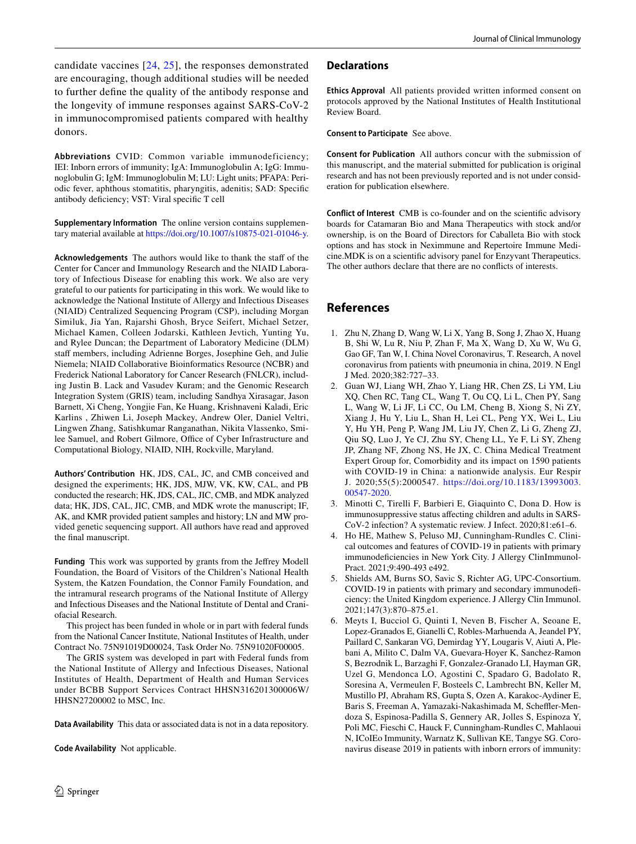candidate vaccines [[24](#page-6-4), [25\]](#page-6-5), the responses demonstrated are encouraging, though additional studies will be needed to further defne the quality of the antibody response and the longevity of immune responses against SARS-CoV-2 in immunocompromised patients compared with healthy donors.

**Abbreviations** CVID: Common variable immunodeficiency; IEI: Inborn errors of immunity; IgA: Immunoglobulin A; IgG: Immunoglobulin G; IgM: Immunoglobulin M; LU: Light units; PFAPA: Periodic fever, aphthous stomatitis, pharyngitis, adenitis; SAD: Specifc antibody defciency; VST: Viral specifc T cell

**Supplementary Information** The online version contains supplementary material available at <https://doi.org/10.1007/s10875-021-01046-y>.

Acknowledgements The authors would like to thank the staff of the Center for Cancer and Immunology Research and the NIAID Laboratory of Infectious Disease for enabling this work. We also are very grateful to our patients for participating in this work. We would like to acknowledge the National Institute of Allergy and Infectious Diseases (NIAID) Centralized Sequencing Program (CSP), including Morgan Similuk, Jia Yan, Rajarshi Ghosh, Bryce Seifert, Michael Setzer, Michael Kamen, Colleen Jodarski, Kathleen Jevtich, Yunting Yu, and Rylee Duncan; the Department of Laboratory Medicine (DLM) staff members, including Adrienne Borges, Josephine Geh, and Julie Niemela; NIAID Collaborative Bioinformatics Resource (NCBR) and Frederick National Laboratory for Cancer Research (FNLCR), including Justin B. Lack and Vasudev Kuram; and the Genomic Research Integration System (GRIS) team, including Sandhya Xirasagar, Jason Barnett, Xi Cheng, Yongjie Fan, Ke Huang, Krishnaveni Kaladi, Eric Karlins , Zhiwen Li, Joseph Mackey, Andrew Oler, Daniel Veltri, Lingwen Zhang, Satishkumar Ranganathan, Nikita Vlassenko, Smilee Samuel, and Robert Gilmore, Office of Cyber Infrastructure and Computational Biology, NIAID, NIH, Rockville, Maryland.

**Authors' Contribution** HK, JDS, CAL, JC, and CMB conceived and designed the experiments; HK, JDS, MJW, VK, KW, CAL, and PB conducted the research; HK, JDS, CAL, JIC, CMB, and MDK analyzed data; HK, JDS, CAL, JIC, CMB, and MDK wrote the manuscript; IF, AK, and KMR provided patient samples and history; LN and MW provided genetic sequencing support. All authors have read and approved the fnal manuscript.

**Funding** This work was supported by grants from the Jefrey Modell Foundation, the Board of Visitors of the Children's National Health System, the Katzen Foundation, the Connor Family Foundation, and the intramural research programs of the National Institute of Allergy and Infectious Diseases and the National Institute of Dental and Craniofacial Research.

This project has been funded in whole or in part with federal funds from the National Cancer Institute, National Institutes of Health, under Contract No. 75N91019D00024, Task Order No. 75N91020F00005.

The GRIS system was developed in part with Federal funds from the National Institute of Allergy and Infectious Diseases, National Institutes of Health, Department of Health and Human Services under BCBB Support Services Contract HHSN316201300006W/ HHSN27200002 to MSC, Inc.

**Data Availability** This data or associated data is not in a data repository.

**Code Availability** Not applicable.

#### **Declarations**

**Ethics Approval** All patients provided written informed consent on protocols approved by the National Institutes of Health Institutional Review Board.

**Consent to Participate** See above.

**Consent for Publication** All authors concur with the submission of this manuscript, and the material submitted for publication is original research and has not been previously reported and is not under consideration for publication elsewhere.

**Conflict of Interest** CMB is co-founder and on the scientifc advisory boards for Catamaran Bio and Mana Therapeutics with stock and/or ownership, is on the Board of Directors for Caballeta Bio with stock options and has stock in Neximmune and Repertoire Immune Medicine.MDK is on a scientifc advisory panel for Enzyvant Therapeutics. The other authors declare that there are no conficts of interests.

# **References**

- <span id="page-5-0"></span>1. Zhu N, Zhang D, Wang W, Li X, Yang B, Song J, Zhao X, Huang B, Shi W, Lu R, Niu P, Zhan F, Ma X, Wang D, Xu W, Wu G, Gao GF, Tan W, I. China Novel Coronavirus, T. Research, A novel coronavirus from patients with pneumonia in china, 2019. N Engl J Med. 2020;382:727–33.
- <span id="page-5-1"></span>2. Guan WJ, Liang WH, Zhao Y, Liang HR, Chen ZS, Li YM, Liu XQ, Chen RC, Tang CL, Wang T, Ou CQ, Li L, Chen PY, Sang L, Wang W, Li JF, Li CC, Ou LM, Cheng B, Xiong S, Ni ZY, Xiang J, Hu Y, Liu L, Shan H, Lei CL, Peng YX, Wei L, Liu Y, Hu YH, Peng P, Wang JM, Liu JY, Chen Z, Li G, Zheng ZJ, Qiu SQ, Luo J, Ye CJ, Zhu SY, Cheng LL, Ye F, Li SY, Zheng JP, Zhang NF, Zhong NS, He JX, C. China Medical Treatment Expert Group for, Comorbidity and its impact on 1590 patients with COVID-19 in China: a nationwide analysis. Eur Respir J. 2020;55(5):2000547. [https://doi.org/10.1183/13993003.](https://doi.org/10.1183/13993003.00547-2020) [00547-2020.](https://doi.org/10.1183/13993003.00547-2020)
- <span id="page-5-2"></span>3. Minotti C, Tirelli F, Barbieri E, Giaquinto C, Dona D. How is immunosuppressive status afecting children and adults in SARS-CoV-2 infection? A systematic review. J Infect. 2020;81:e61–6.
- <span id="page-5-3"></span>4. Ho HE, Mathew S, Peluso MJ, Cunningham-Rundles C. Clinical outcomes and features of COVID-19 in patients with primary immunodeficiencies in New York City. J Allergy ClinImmunol-Pract. 2021;9:490-493 e492.
- 5. Shields AM, Burns SO, Savic S, Richter AG, UPC-Consortium. COVID-19 in patients with primary and secondary immunodefciency: the United Kingdom experience. J Allergy Clin Immunol. 2021;147(3):870–875.e1.
- <span id="page-5-4"></span>6. Meyts I, Bucciol G, Quinti I, Neven B, Fischer A, Seoane E, Lopez-Granados E, Gianelli C, Robles-Marhuenda A, Jeandel PY, Paillard C, Sankaran VG, Demirdag YY, Lougaris V, Aiuti A, Plebani A, Milito C, Dalm VA, Guevara-Hoyer K, Sanchez-Ramon S, Bezrodnik L, Barzaghi F, Gonzalez-Granado LI, Hayman GR, Uzel G, Mendonca LO, Agostini C, Spadaro G, Badolato R, Soresina A, Vermeulen F, Bosteels C, Lambrecht BN, Keller M, Mustillo PJ, Abraham RS, Gupta S, Ozen A, Karakoc-Aydiner E, Baris S, Freeman A, Yamazaki-Nakashimada M, Scheffler-Mendoza S, Espinosa-Padilla S, Gennery AR, Jolles S, Espinoza Y, Poli MC, Fieschi C, Hauck F, Cunningham-Rundles C, Mahlaoui N, ICoIEo Immunity, Warnatz K, Sullivan KE, Tangye SG. Coronavirus disease 2019 in patients with inborn errors of immunity: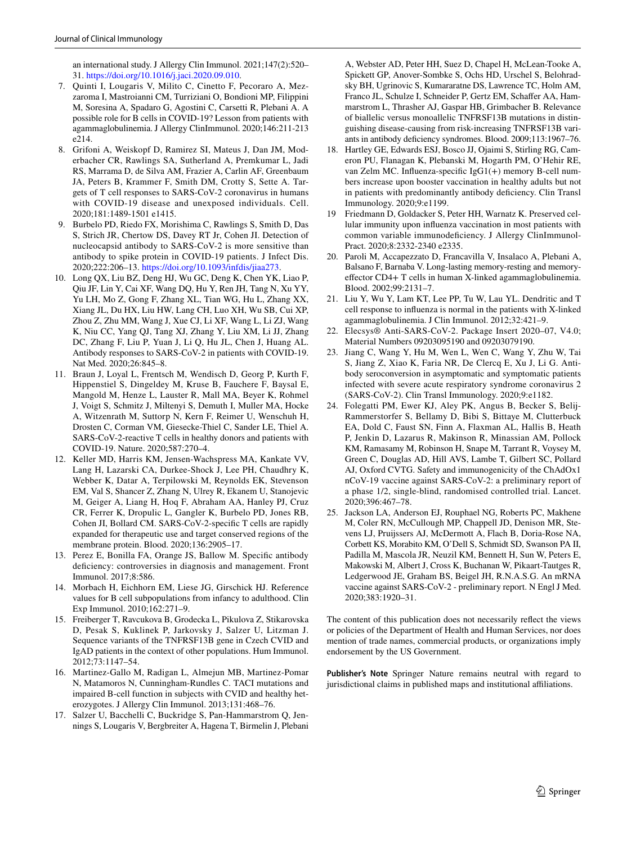an international study. J Allergy Clin Immunol. 2021;147(2):520– 31. <https://doi.org/10.1016/j.jaci.2020.09.010>.

- <span id="page-6-6"></span>7. Quinti I, Lougaris V, Milito C, Cinetto F, Pecoraro A, Mezzaroma I, Mastroianni CM, Turriziani O, Bondioni MP, Filippini M, Soresina A, Spadaro G, Agostini C, Carsetti R, Plebani A. A possible role for B cells in COVID-19? Lesson from patients with agammaglobulinemia. J Allergy ClinImmunol. 2020;146:211-213 e214.
- <span id="page-6-0"></span>8. Grifoni A, Weiskopf D, Ramirez SI, Mateus J, Dan JM, Moderbacher CR, Rawlings SA, Sutherland A, Premkumar L, Jadi RS, Marrama D, de Silva AM, Frazier A, Carlin AF, Greenbaum JA, Peters B, Krammer F, Smith DM, Crotty S, Sette A. Targets of T cell responses to SARS-CoV-2 coronavirus in humans with COVID-19 disease and unexposed individuals. Cell. 2020;181:1489-1501 e1415.
- <span id="page-6-1"></span>9. Burbelo PD, Riedo FX, Morishima C, Rawlings S, Smith D, Das S, Strich JR, Chertow DS, Davey RT Jr, Cohen JI. Detection of nucleocapsid antibody to SARS-CoV-2 is more sensitive than antibody to spike protein in COVID-19 patients. J Infect Dis. 2020;222:206–13. <https://doi.org/10.1093/infdis/jiaa273>.
- <span id="page-6-2"></span>10. Long QX, Liu BZ, Deng HJ, Wu GC, Deng K, Chen YK, Liao P, Qiu JF, Lin Y, Cai XF, Wang DQ, Hu Y, Ren JH, Tang N, Xu YY, Yu LH, Mo Z, Gong F, Zhang XL, Tian WG, Hu L, Zhang XX, Xiang JL, Du HX, Liu HW, Lang CH, Luo XH, Wu SB, Cui XP, Zhou Z, Zhu MM, Wang J, Xue CJ, Li XF, Wang L, Li ZJ, Wang K, Niu CC, Yang QJ, Tang XJ, Zhang Y, Liu XM, Li JJ, Zhang DC, Zhang F, Liu P, Yuan J, Li Q, Hu JL, Chen J, Huang AL. Antibody responses to SARS-CoV-2 in patients with COVID-19. Nat Med. 2020;26:845–8.
- <span id="page-6-3"></span>11. Braun J, Loyal L, Frentsch M, Wendisch D, Georg P, Kurth F, Hippenstiel S, Dingeldey M, Kruse B, Fauchere F, Baysal E, Mangold M, Henze L, Lauster R, Mall MA, Beyer K, Rohmel J, Voigt S, Schmitz J, Miltenyi S, Demuth I, Muller MA, Hocke A, Witzenrath M, Suttorp N, Kern F, Reimer U, Wenschuh H, Drosten C, Corman VM, Giesecke-Thiel C, Sander LE, Thiel A. SARS-CoV-2-reactive T cells in healthy donors and patients with COVID-19. Nature. 2020;587:270–4.
- <span id="page-6-7"></span>12. Keller MD, Harris KM, Jensen-Wachspress MA, Kankate VV, Lang H, Lazarski CA, Durkee-Shock J, Lee PH, Chaudhry K, Webber K, Datar A, Terpilowski M, Reynolds EK, Stevenson EM, Val S, Shancer Z, Zhang N, Ulrey R, Ekanem U, Stanojevic M, Geiger A, Liang H, Hoq F, Abraham AA, Hanley PJ, Cruz CR, Ferrer K, Dropulic L, Gangler K, Burbelo PD, Jones RB, Cohen JI, Bollard CM. SARS-CoV-2-specifc T cells are rapidly expanded for therapeutic use and target conserved regions of the membrane protein. Blood. 2020;136:2905–17.
- <span id="page-6-8"></span>13. Perez E, Bonilla FA, Orange JS, Ballow M. Specifc antibody deficiency: controversies in diagnosis and management. Front Immunol. 2017;8:586.
- <span id="page-6-9"></span>14. Morbach H, Eichhorn EM, Liese JG, Girschick HJ. Reference values for B cell subpopulations from infancy to adulthood. Clin Exp Immunol. 2010;162:271–9.
- <span id="page-6-10"></span>15. Freiberger T, Ravcukova B, Grodecka L, Pikulova Z, Stikarovska D, Pesak S, Kuklinek P, Jarkovsky J, Salzer U, Litzman J. Sequence variants of the TNFRSF13B gene in Czech CVID and IgAD patients in the context of other populations. Hum Immunol. 2012;73:1147–54.
- 16. Martinez-Gallo M, Radigan L, Almejun MB, Martinez-Pomar N, Matamoros N, Cunningham-Rundles C. TACI mutations and impaired B-cell function in subjects with CVID and healthy heterozygotes. J Allergy Clin Immunol. 2013;131:468–76.
- <span id="page-6-11"></span>17. Salzer U, Bacchelli C, Buckridge S, Pan-Hammarstrom Q, Jennings S, Lougaris V, Bergbreiter A, Hagena T, Birmelin J, Plebani

A, Webster AD, Peter HH, Suez D, Chapel H, McLean-Tooke A, Spickett GP, Anover-Sombke S, Ochs HD, Urschel S, Belohradsky BH, Ugrinovic S, Kumararatne DS, Lawrence TC, Holm AM, Franco JL, Schulze I, Schneider P, Gertz EM, Schafer AA, Hammarstrom L, Thrasher AJ, Gaspar HB, Grimbacher B. Relevance of biallelic versus monoallelic TNFRSF13B mutations in distinguishing disease-causing from risk-increasing TNFRSF13B variants in antibody defciency syndromes. Blood. 2009;113:1967–76.

- <span id="page-6-12"></span>18. Hartley GE, Edwards ESJ, Bosco JJ, Ojaimi S, Stirling RG, Cameron PU, Flanagan K, Plebanski M, Hogarth PM, O'Hehir RE, van Zelm MC. Infuenza-specifc IgG1(+) memory B-cell numbers increase upon booster vaccination in healthy adults but not in patients with predominantly antibody defciency. Clin Transl Immunology. 2020;9:e1199.
- <span id="page-6-13"></span>19 Friedmann D, Goldacker S, Peter HH, Warnatz K. Preserved cellular immunity upon infuenza vaccination in most patients with common variable immunodefciency. J Allergy ClinImmunol-Pract. 2020;8:2332-2340 e2335.
- 20. Paroli M, Accapezzato D, Francavilla V, Insalaco A, Plebani A, Balsano F, Barnaba V. Long-lasting memory-resting and memoryefector CD4+ T cells in human X-linked agammaglobulinemia. Blood. 2002;99:2131–7.
- <span id="page-6-14"></span>21. Liu Y, Wu Y, Lam KT, Lee PP, Tu W, Lau YL. Dendritic and T cell response to infuenza is normal in the patients with X-linked agammaglobulinemia. J Clin Immunol. 2012;32:421–9.
- <span id="page-6-15"></span>22. Elecsys® Anti-SARS-CoV-2. Package Insert 2020–07, V4.0; Material Numbers 09203095190 and 09203079190.
- <span id="page-6-16"></span>23. Jiang C, Wang Y, Hu M, Wen L, Wen C, Wang Y, Zhu W, Tai S, Jiang Z, Xiao K, Faria NR, De Clercq E, Xu J, Li G. Antibody seroconversion in asymptomatic and symptomatic patients infected with severe acute respiratory syndrome coronavirus 2 (SARS-CoV-2). Clin Transl Immunology. 2020;9:e1182.
- <span id="page-6-4"></span>24. Folegatti PM, Ewer KJ, Aley PK, Angus B, Becker S, Belij-Rammerstorfer S, Bellamy D, Bibi S, Bittaye M, Clutterbuck EA, Dold C, Faust SN, Finn A, Flaxman AL, Hallis B, Heath P, Jenkin D, Lazarus R, Makinson R, Minassian AM, Pollock KM, Ramasamy M, Robinson H, Snape M, Tarrant R, Voysey M, Green C, Douglas AD, Hill AVS, Lambe T, Gilbert SC, Pollard AJ, Oxford CVTG. Safety and immunogenicity of the ChAdOx1 nCoV-19 vaccine against SARS-CoV-2: a preliminary report of a phase 1/2, single-blind, randomised controlled trial. Lancet. 2020;396:467–78.
- <span id="page-6-5"></span>25. Jackson LA, Anderson EJ, Rouphael NG, Roberts PC, Makhene M, Coler RN, McCullough MP, Chappell JD, Denison MR, Stevens LJ, Pruijssers AJ, McDermott A, Flach B, Doria-Rose NA, Corbett KS, Morabito KM, O'Dell S, Schmidt SD, Swanson PA II, Padilla M, Mascola JR, Neuzil KM, Bennett H, Sun W, Peters E, Makowski M, Albert J, Cross K, Buchanan W, Pikaart-Tautges R, Ledgerwood JE, Graham BS, Beigel JH, R.N.A.S.G. An mRNA vaccine against SARS-CoV-2 - preliminary report. N Engl J Med. 2020;383:1920–31.

The content of this publication does not necessarily refect the views or policies of the Department of Health and Human Services, nor does mention of trade names, commercial products, or organizations imply endorsement by the US Government.

**Publisher's Note** Springer Nature remains neutral with regard to jurisdictional claims in published maps and institutional afliations.